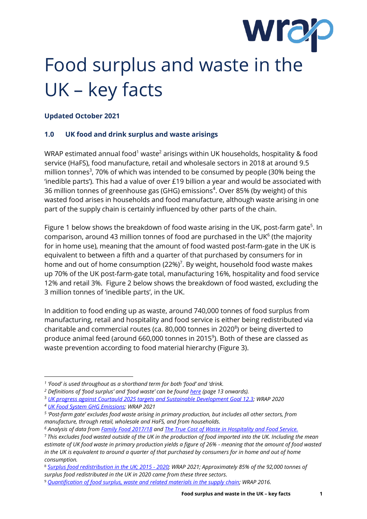

# Food surplus and waste in the UK – key facts

### **Updated October 2021**

#### **1.0 UK food and drink surplus and waste arisings**

WRAP estimated annual food<sup>1</sup> waste<sup>2</sup> arisings within UK households, hospitality & food service (HaFS), food manufacture, retail and wholesale sectors in 2018 at around 9.5 million tonnes<sup>3</sup>, 70% of which was intended to be consumed by people (30% being the 'inedible parts'). This had a value of over £19 billion a year and would be associated with 36 million tonnes of greenhouse gas (GHG) emissions<sup>4</sup>. Over 85% (by weight) of this wasted food arises in households and food manufacture, although waste arising in one part of the supply chain is certainly influenced by other parts of the chain.

Figure 1 below shows the breakdown of food waste arising in the UK, post-farm gate<sup>5</sup>. In comparison, around 43 million tonnes of food are purchased in the UK $<sup>6</sup>$  (the majority</sup> for in home use), meaning that the amount of food wasted post-farm-gate in the UK is equivalent to between a fifth and a quarter of that purchased by consumers for in home and out of home consumption (22%)<sup>7</sup>. By weight, household food waste makes up 70% of the UK post-farm-gate total, manufacturing 16%, hospitality and food service 12% and retail 3%. Figure 2 below shows the breakdown of food wasted, excluding the 3 million tonnes of 'inedible parts', in the UK.

In addition to food ending up as waste, around 740,000 tonnes of food surplus from manufacturing, retail and hospitality and food service is either being redistributed via charitable and commercial routes (ca. 80,000 tonnes in 2020 $^{\circ}$ ) or being diverted to produce animal feed (around 660,000 tonnes in 2015<sup>9</sup>). Both of these are classed as waste prevention according to food material hierarchy (Figure 3).

*<sup>1</sup> 'Food' is used throughout as a shorthand term for both 'food' and 'drink.*

*<sup>2</sup> Definitions of 'food surplus' and 'food waste' can be foun[d here](http://www.wrap.org.uk/sites/files/wrap/food-waste-measurement-guidelines_0.pdf) (page 13 onwards).*

<sup>3</sup> *[UK progress against Courtauld 2025 targets and Sustainable Development Goal 12.3;](https://wrap.org.uk/content/uk-progress-against-courtauld-2025-targets-and-un-sustainable-development-goal-123) WRAP 2020*

*<sup>4</sup> [UK Food System GHG Emissions;](https://wrap.org.uk/food-systems-ghg-report) WRAP 2021*

*<sup>5</sup> 'Post-farm gate' excludes food waste arising in primary production, but includes all other sectors, from manufacture, through retail, wholesale and HaFS, and from households.*

*<sup>6</sup> Analysis of data from [Family Food 2017/18](https://www.gov.uk/government/statistics/family-food-201718) an[d The True Cost of Waste in Hospitality and Food Service.](http://www.wrap.org.uk/content/true-cost-waste-hospitality-and-food-service)*

<sup>7</sup> *This excludes food wasted outside of the UK in the production of food imported into the UK. Including the mean estimate of UK food waste in primary production yields a figure of 26% - meaning that the amount of food wasted in the UK is equivalent to around a quarter of that purchased by consumers for in home and out of home consumption.*

<sup>8</sup> *[Surplus food redistribution in the UK; 2015 -](https://wrap.org.uk/surplus-food-redistribution-data-uk) 2020; WRAP 2021; Approximately 85% of the 92,000 tonnes of surplus food redistributed in the UK in 2020 came from these three sectors.*

<sup>9</sup> *[Quantification of food surplus, waste and related materials in the supply chain;](http://www.wrap.org.uk/content/quantification-food-surplus-waste-and-related-materials-supply-chain) WRAP 2016.*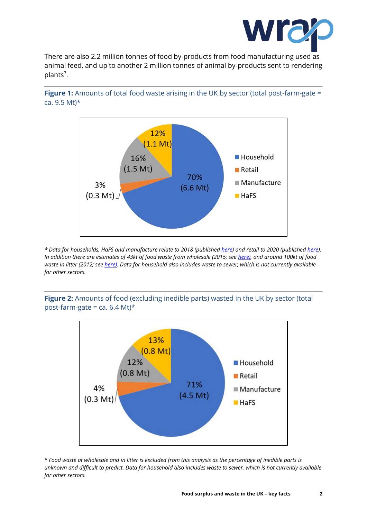

There are also 2.2 million tonnes of food by-products from food manufacturing used as animal feed, and up to another 2 million tonnes of animal by-products sent to rendering plants<sup>7</sup>.





*\* Data for households, HaFS and manufacture relate to 2018 (publishe[d here\)](https://wrap.org.uk/content/uk-progress-against-courtauld-2025-targets-and-un-sustainable-development-goal-123) and retail to 2020 (published [here\)](https://wrap.org.uk/resources/report/food-waste-reduction-roadmap-progress-report-2021). In addition there are estimates of 43kt of food waste from wholesale (2015; see [here\)](https://wrap.org.uk/resources/report/food-surplus-and-waste-uk-wholesale-grocery-2015), and around 100kt of food waste in litter (2012; se[e here\).](https://wrap.org.uk/resources/report/synthesis-food-waste-compositional-data-2012) Data for household also includes waste to sewer, which is not currently available for other sectors.*

**Figure 2:** Amounts of food (excluding inedible parts) wasted in the UK by sector (total post-farm-gate = ca.  $6.4$  Mt)\*



*\* Food waste at wholesale and in litter is excluded from this analysis as the percentage of inedible parts is unknown and difficult to predict. Data for household also includes waste to sewer, which is not currently available for other sectors.*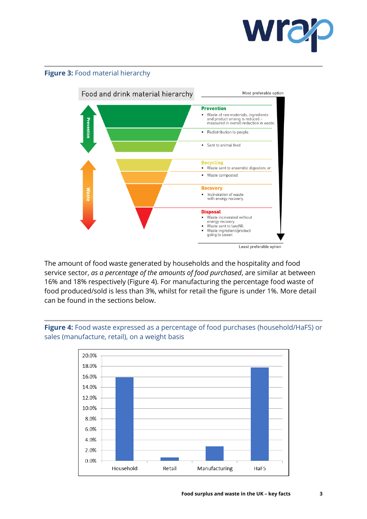

#### **Figure 3:** Food material hierarchy



The amount of food waste generated by households and the hospitality and food service sector, *as a percentage of the amounts of food purchased*, are similar at between 16% and 18% respectively (Figure 4). For manufacturing the percentage food waste of food produced/sold is less than 3%, whilst for retail the figure is under 1%. More detail can be found in the sections below.



**Figure 4:** Food waste expressed as a percentage of food purchases (household/HaFS) or sales (manufacture, retail), on a weight basis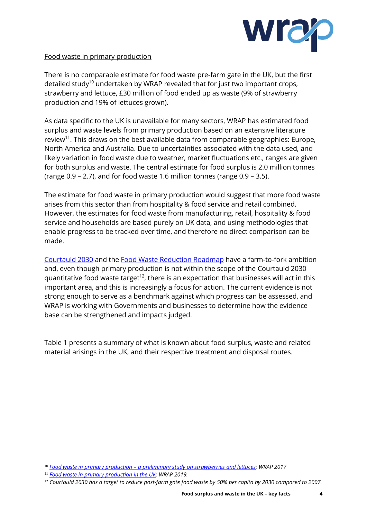

#### Food waste in primary production

There is no comparable estimate for food waste pre-farm gate in the UK, but the first detailed study<sup>10</sup> undertaken by WRAP revealed that for just two important crops, strawberry and lettuce, £30 million of food ended up as waste (9% of strawberry production and 19% of lettuces grown).

As data specific to the UK is unavailable for many sectors, WRAP has estimated food surplus and waste levels from primary production based on an extensive literature review<sup>11</sup>. This draws on the best available data from comparable geographies: Europe, North America and Australia. Due to uncertainties associated with the data used, and likely variation in food waste due to weather, market fluctuations etc., ranges are given for both surplus and waste. The central estimate for food surplus is 2.0 million tonnes (range 0.9 – 2.7), and for food waste 1.6 million tonnes (range 0.9 – 3.5).

The estimate for food waste in primary production would suggest that more food waste arises from this sector than from hospitality & food service and retail combined. However, the estimates for food waste from manufacturing, retail, hospitality & food service and households are based purely on UK data, and using methodologies that enable progress to be tracked over time, and therefore no direct comparison can be made.

[Courtauld 203](https://www.wrap.org.uk/food-drink/business-food-waste/courtauld-2025)0 and the [Food Waste Reduction Roadmap](https://www.wrap.org.uk/food-waste-reduction-roadmap) have a farm-to-fork ambition and, even though primary production is not within the scope of the Courtauld 2030 quantitative food waste target<sup>12</sup>, there is an expectation that businesses will act in this important area, and this is increasingly a focus for action. The current evidence is not strong enough to serve as a benchmark against which progress can be assessed, and WRAP is working with Governments and businesses to determine how the evidence base can be strengthened and impacts judged.

Table 1 presents a summary of what is known about food surplus, waste and related material arisings in the UK, and their respective treatment and disposal routes.

<sup>10</sup> *Food waste in primary production – [a preliminary study on strawberries and lettuces;](http://www.wrap.org.uk/content/food-waste-primary-production-preliminary-study-strawberries-and-lettuces) WRAP 2017*

<sup>11</sup> *[Food waste in primary production in the UK;](https://wrap.org.uk/resources/report/food-waste-primary-production-uk) WRAP 2019.*

<sup>12</sup> *Courtauld 2030 has a target to reduce post-farm gate food waste by 50% per capita by 2030 compared to 2007.*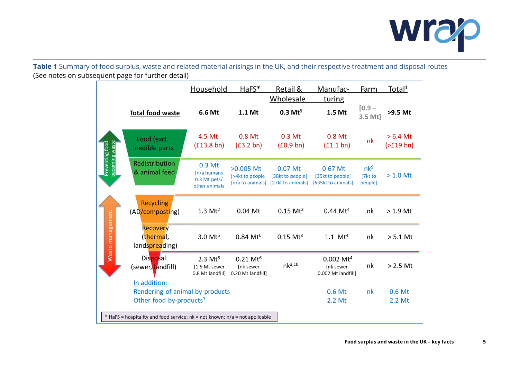

**Table 1** Summary of food surplus, waste and related material arisings in the UK, and their respective treatment and disposal routes (See notes on subsequent page for further detail)

|                                                       |                                                                                        | Household                                               | HaFS*                                                 | Retail &<br>Wholesale                            | Manufac-<br>turing                                       | Farm                                  | Total <sup>1</sup>           |  |  |  |  |
|-------------------------------------------------------|----------------------------------------------------------------------------------------|---------------------------------------------------------|-------------------------------------------------------|--------------------------------------------------|----------------------------------------------------------|---------------------------------------|------------------------------|--|--|--|--|
|                                                       | <b>Total food waste</b>                                                                | 6.6 Mt                                                  | 1.1 Mt                                                | $0.3$ Mt <sup>8</sup>                            | 1.5 Mt                                                   | $[0.9 -$<br>3.5 Mt]                   | >9.5 Mt                      |  |  |  |  |
| becoming waste<br>Preventing food<br>Waste management | Food (excl.<br>inedible parts                                                          | 4.5 Mt<br>$(f13.8 \text{ bn})$                          | 0.8 Mt<br>$(f3.2 \text{ bn})$                         | 0.3 Mt<br>(£0.9 bh)                              | 0.8 Mt<br>$(f1.1 \text{ bn})$                            | nk                                    | $>6.4$ Mt<br>$($ >£19 bn $)$ |  |  |  |  |
|                                                       | Redistribution<br>& animal feed                                                        | 0.3 Mt<br>[n/a humans<br>0.3 Mt pets/<br>other animals  | $>0.005$ Mt<br>[>4kt to people<br>[n/a to animals]    | 0.07 Mt<br>[38kt to people]<br>[27kt to animals] | 0.67 Mt<br>[35kt to people]<br>[635kt to animals]        | nk <sup>9</sup><br>[7kt to<br>people] | $> 1.0$ Mt                   |  |  |  |  |
|                                                       | <b>Recycling</b><br>(AD/composting)                                                    | $1.3 \mathrm{Mt}^2$                                     | 0.04 Mt                                               | $0.15$ Mt <sup>3</sup>                           | $0.44 \, \text{Mt}^4$                                    | nk                                    | $>1.9$ Mt                    |  |  |  |  |
|                                                       | <b>Recovery</b><br>(thermal,<br>landspreading)                                         | 3.0 Mt <sup>5</sup>                                     | $0.84 \, \text{Mt}^6$                                 | $0.15$ Mt <sup>3</sup>                           | 1.1 $Mt^4$                                               | nk                                    | $> 5.1$ Mt                   |  |  |  |  |
|                                                       | Disposal<br>(sewer, landfill)                                                          | $2.3 \text{ Mt}^5$<br>[1.5 Mt sewer<br>0.8 Mt landfill] | $0.21 \text{ Mt}^6$<br>[nk sewer<br>0.20 Mt landfill] | $nk^{3,10}$                                      | $0.002 \mathrm{Mt}^4$<br>[nk sewer<br>0.002 Mt landfill] | nk                                    | $> 2.5$ Mt                   |  |  |  |  |
|                                                       | In addition:<br>Rendering of animal by-products<br>Other food by-products <sup>7</sup> |                                                         |                                                       |                                                  | 0.6 Mt<br>2.2 Mt                                         | nk                                    | 0.6 Mt<br>2.2 Mt             |  |  |  |  |
|                                                       | * HaFS = hospitality and food service; nk = not known; n/a = not applicable            |                                                         |                                                       |                                                  |                                                          |                                       |                              |  |  |  |  |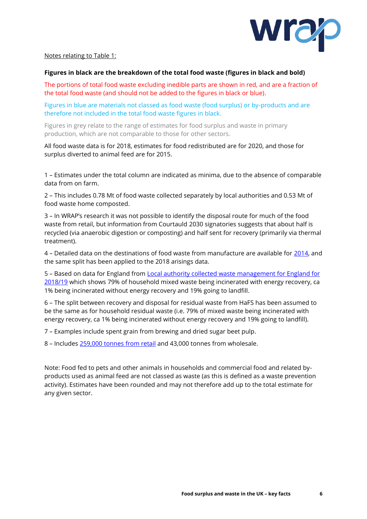

#### Notes relating to Table 1:

#### **Figures in black are the breakdown of the total food waste (figures in black and bold)**

The portions of total food waste excluding inedible parts are shown in red, and are a fraction of the total food waste (and should not be added to the figures in black or blue).

Figures in blue are materials not classed as food waste (food surplus) or by-products and are therefore not included in the total food waste figures in black.

Figures in grey relate to the range of estimates for food surplus and waste in primary production, which are not comparable to those for other sectors.

All food waste data is for 2018, estimates for food redistributed are for 2020, and those for surplus diverted to animal feed are for 2015.

1 – Estimates under the total column are indicated as minima, due to the absence of comparable data from on farm.

2 – This includes 0.78 Mt of food waste collected separately by local authorities and 0.53 Mt of food waste home composted.

3 – In WRAP's research it was not possible to identify the disposal route for much of the food waste from retail, but information from Courtauld 2030 signatories suggests that about half is recycled (via anaerobic digestion or composting) and half sent for recovery (primarily via thermal treatment).

4 – Detailed data on the destinations of food waste from manufacture are available for [2014,](http://www.wrap.org.uk/content/quantification-food-surplus-waste-and-related-materials-supply-chain) and the same split has been applied to the 2018 arisings data.

5 – Based on data for England from [Local authority collected waste management for England for](https://www.gov.uk/government/statistics/local-authority-collected-waste-management-annual-results)  [2018/19](https://www.gov.uk/government/statistics/local-authority-collected-waste-management-annual-results) which shows 79% of household mixed waste being incinerated with energy recovery, ca 1% being incinerated without energy recovery and 19% going to landfill.

6 – The split between recovery and disposal for residual waste from HaFS has been assumed to be the same as for household residual waste (i.e. 79% of mixed waste being incinerated with energy recovery, ca 1% being incinerated without energy recovery and 19% going to landfill).

7 – Examples include spent grain from brewing and dried sugar beet pulp.

8 – Includes [259,000 tonnes](https://wrap.org.uk/resources/report/food-waste-reduction-roadmap-progress-report-2021) from retail and 43,000 tonnes from wholesale.

Note: Food fed to pets and other animals in households and commercial food and related byproducts used as animal feed are not classed as waste (as this is defined as a waste prevention activity). Estimates have been rounded and may not therefore add up to the total estimate for any given sector.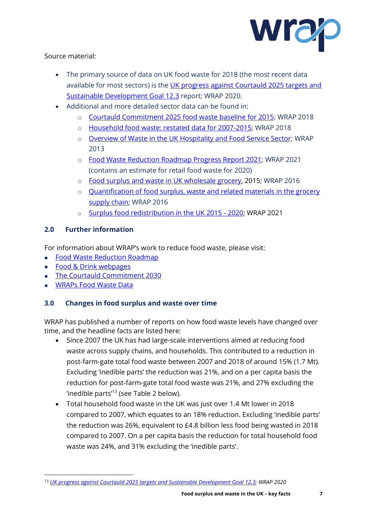

Source material:

- The primary source of data on UK food waste for 2018 (the most recent data available for most sectors) is the UK progress against Courtauld 2025 targets and [Sustainable Development Goal 12.3](https://wrap.org.uk/content/uk-progress-against-courtauld-2025-targets-and-un-sustainable-development-goal-123) report; WRAP 2020.
- Additional and more detailed sector data can be found in:
	- o [Courtauld Commitment 2025 food waste baseline for 2015;](https://www.wrap.org.uk/content/courtauld-2025-baseline-and-restated-household-food-waste-figures) WRAP 2018
	- o [Household food waste: restated data for 2007-2015;](http://www.wrap.org.uk/content/courtauld-2025-baseline-and-restated-household-food-waste-figures) WRAP 2018
	- o [Overview of Waste in the UK Hospitality and Food Service Sector;](http://www.wrap.org.uk/content/overview-waste-hospitality-and-food-service-sector) WRAP 2013
	- o [Food Waste Reduction Roadmap Progress Report 2021;](https://wrap.org.uk/resources/report/food-waste-reduction-roadmap-progress-report-2021) WRAP 2021 (contains an estimate for retail food waste for 2020)
	- o [Food surplus and waste in UK wholesale grocery,](https://wrap.org.uk/resources/report/food-surplus-and-waste-uk-wholesale-grocery-2015) 2015; WRAP 2016
	- o [Quantification of food surplus, waste and related materials in the grocery](http://www.wrap.org.uk/content/quantification-food-surplus-waste-and-related-materials-supply-chain)  [supply chain;](http://www.wrap.org.uk/content/quantification-food-surplus-waste-and-related-materials-supply-chain) WRAP 2016
	- o [Surplus food redistribution in the UK 2015 -](https://wrap.org.uk/surplus-food-redistribution-data-uk) 2020; WRAP 2021

# **2.0 Further information**

For information about WRAP's work to reduce food waste, please visit:

- [Food Waste Reduction Roadmap](http://www.wrap.org.uk/food-waste-reduction-roadmap)
- [Food & Drink webpages](http://www.wrap.org.uk/food-drink)
- [The Courtauld Commitment 203](http://www.wrap.org.uk/food-drink/business-food-waste/courtauld-2025)0
- [WRAPs Food Waste Data](http://www.wrap.org.uk/content/food-waste-data)

# **3.0 Changes in food surplus and waste over time**

WRAP has published a number of reports on how food waste levels have changed over time, and the headline facts are listed here:

- Since 2007 the UK has had large-scale interventions aimed at reducing food waste across supply chains, and households. This contributed to a reduction in post-farm-gate total food waste between 2007 and 2018 of around 15% (1.7 Mt). Excluding 'inedible parts' the reduction was 21%, and on a per capita basis the reduction for post-farm-gate total food waste was 21%, and 27% excluding the 'inedible parts'<sup>13</sup> (see Table 2 below).
- Total household food waste in the UK was just over 1.4 Mt lower in 2018 compared to 2007, which equates to an 18% reduction. Excluding 'inedible parts' the reduction was 26%, equivalent to £4.8 billion less food being wasted in 2018 compared to 2007. On a per capita basis the reduction for total household food waste was 24%, and 31% excluding the 'inedible parts'.

<sup>13</sup> *[UK progress against Courtauld 2025 targets and Sustainable Development Goal 12.3;](https://wrap.org.uk/content/uk-progress-against-courtauld-2025-targets-and-un-sustainable-development-goal-123) WRAP 2020*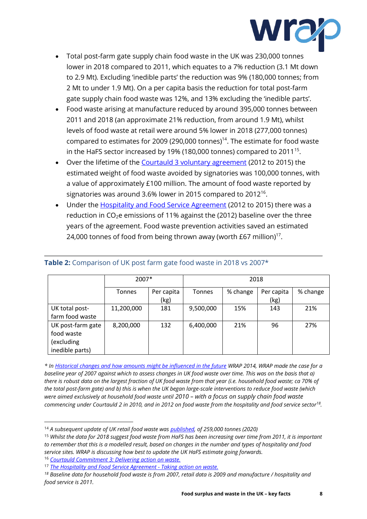

- Total post-farm gate supply chain food waste in the UK was 230,000 tonnes lower in 2018 compared to 2011, which equates to a 7% reduction (3.1 Mt down to 2.9 Mt). Excluding 'inedible parts' the reduction was 9% (180,000 tonnes; from 2 Mt to under 1.9 Mt). On a per capita basis the reduction for total post-farm gate supply chain food waste was 12%, and 13% excluding the 'inedible parts'.
- Food waste arising at manufacture reduced by around 395,000 tonnes between 2011 and 2018 (an approximate 21% reduction, from around 1.9 Mt), whilst levels of food waste at retail were around 5% lower in 2018 (277,000 tonnes) compared to estimates for 2009 (290,000 tonnes)<sup>14</sup>. The estimate for food waste in the HaFS sector increased by 19% (180,000 tonnes) compared to 2011<sup>15</sup>.
- Over the lifetime of the [Courtauld 3 voluntary agreement](http://www.wrap.org.uk/content/courtauld-commitment-3-delivering-action-waste) (2012 to 2015) the estimated weight of food waste avoided by signatories was 100,000 tonnes, with a value of approximately £100 million. The amount of food waste reported by signatories was around 3.6% lower in 2015 compared to 2012<sup>16</sup>.
- Under the **Hospitality and Food Service Agreement** (2012 to 2015) there was a reduction in CO<sub>2</sub>e emissions of 11% against the (2012) baseline over the three years of the agreement. Food waste prevention activities saved an estimated 24,000 tonnes of food from being thrown away (worth £67 million)<sup>17</sup>.

|                                                                  | 2007*         |                    | 2018          |          |                    |          |  |  |
|------------------------------------------------------------------|---------------|--------------------|---------------|----------|--------------------|----------|--|--|
|                                                                  | <b>Tonnes</b> | Per capita<br>(kg) | <b>Tonnes</b> | % change | Per capita<br>(kg) | % change |  |  |
| UK total post-<br>farm food waste                                | 11,200,000    | 181                | 9,500,000     | 15%      | 143                | 21%      |  |  |
| UK post-farm gate<br>food waste<br>(excluding<br>inedible parts) | 8,200,000     | 132                | 6,400,000     | 21%      | 96                 | 27%      |  |  |

### **Table 2:** Comparison of UK post farm gate food waste in 2018 vs 2007\*

*\* I[n Historical changes and how amounts might be influenced in the future](https://wrap.org.uk/resources/guide/uk-food-waste-historical-changes-and-how-amounts-might-be-influenced-future) WRAP 2014, WRAP made the case for a baseline year of 2007 against which to assess changes in UK food waste over time. This was on the basis that a) there is robust data on the largest fraction of UK food waste from that year (i.e. household food waste; ca 70% of the total post-farm gate) and b) this is when the UK began large-scale interventions to reduce food waste (which were aimed exclusively at household food waste until 2010 – with a focus on supply chain food waste commencing under Courtauld 2 in 2010, and in 2012 on food waste from the hospitality and food service sector<sup>18</sup> .*

<sup>14</sup> *A subsequent update of UK retail food waste wa[s published,](https://wrap.org.uk/resources/report/food-waste-reduction-roadmap-progress-report-2021) of 259,000 tonnes (2020)* 

<sup>15</sup> *Whilst the data for 2018 suggest food waste from HaFS has been increasing over time from 2011, it is important to remember that this is a modelled result, based on changes in the number and types of hospitality and food service sites. WRAP is discussing how best to update the UK HaFS estimate going forwards.*

<sup>16</sup> *[Courtauld Commitment 3: Delivering action on waste.](https://wrap.org.uk/resources/report/courtauld-commitment-3-delivering-action-waste-final-report)*

<sup>17</sup> *[The Hospitality and Food Service Agreement -](https://wrap.org.uk/resources/case-study/hospitality-and-food-service-agreement-taking-action-waste-final-report) Taking action on waste.*

*<sup>18</sup> Baseline data for household food waste is from 2007, retail data is 2009 and manufacture / hospitality and food service is 2011.*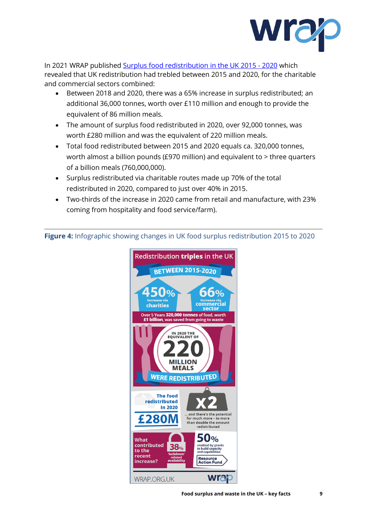

In 2021 WRAP published [Surplus food redistribution in the UK 2015 -](https://wrap.org.uk/surplus-food-redistribution-data-uk) 2020 which revealed that UK redistribution had trebled between 2015 and 2020, for the charitable and commercial sectors combined:

- Between 2018 and 2020, there was a 65% increase in surplus redistributed; an additional 36,000 tonnes, worth over £110 million and enough to provide the equivalent of 86 million meals.
- The amount of surplus food redistributed in 2020, over 92,000 tonnes, was worth £280 million and was the equivalent of 220 million meals.
- Total food redistributed between 2015 and 2020 equals ca. 320,000 tonnes, worth almost a billion pounds (£970 million) and equivalent to > three quarters of a billion meals (760,000,000).
- Surplus redistributed via charitable routes made up 70% of the total redistributed in 2020, compared to just over 40% in 2015.
- Two-thirds of the increase in 2020 came from retail and manufacture, with 23% coming from hospitality and food service/farm).

**Figure 4:** Infographic showing changes in UK food surplus redistribution 2015 to 2020

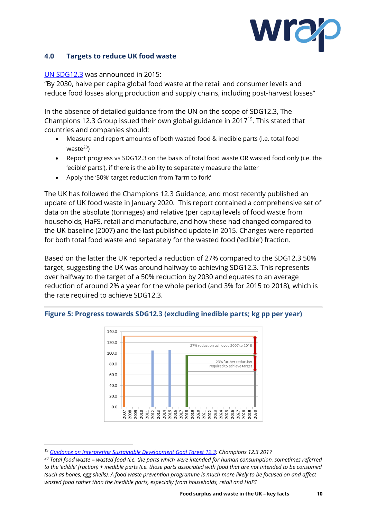

#### **4.0 Targets to reduce UK food waste**

#### [UN SDG12.3](https://www.un.org/sustainabledevelopment/sustainable-consumption-production/) was announced in 2015:

"By 2030, halve per capita global food waste at the retail and consumer levels and reduce food losses along production and supply chains, including post-harvest losses"

In the absence of detailed guidance from the UN on the scope of SDG12.3, The Champions 12.3 Group issued their own global guidance in 2017<sup>19</sup>. This stated that countries and companies should:

- Measure and report amounts of both wasted food & inedible parts (i.e. total food  $waste<sup>20</sup>$
- Report progress vs SDG12.3 on the basis of total food waste OR wasted food only (i.e. the 'edible' parts'), if there is the ability to separately measure the latter
- Apply the '50%' target reduction from 'farm to fork'

The UK has followed the Champions 12.3 Guidance, and most recently published an update of UK food waste in January 2020. This report contained a comprehensive set of data on the absolute (tonnages) and relative (per capita) levels of food waste from households, HaFS, retail and manufacture, and how these had changed compared to the UK baseline (2007) and the last published update in 2015. Changes were reported for both total food waste and separately for the wasted food ('edible') fraction.

Based on the latter the UK reported a reduction of 27% compared to the SDG12.3 50% target, suggesting the UK was around halfway to achieving SDG12.3. This represents over halfway to the target of a 50% reduction by 2030 and equates to an average reduction of around 2% a year for the whole period (and 3% for 2015 to 2018), which is the rate required to achieve SDG12.3.



#### **Figure 5: Progress towards SDG12.3 (excluding inedible parts; kg pp per year)**

<sup>19</sup> *[Guidance on Interpreting Sustainable Development Goal Target 12.3;](https://champs123blog.files.wordpress.com/2017/10/champions-12-3-guidance-on-interpreting-sdg-target-12-3.pdf) Champions 12.3 2017*

*<sup>20</sup> Total food waste = wasted food (i.e. the parts which were intended for human consumption, sometimes referred to the 'edible' fraction) + inedible parts (i.e. those parts associated with food that are not intended to be consumed (such as bones, egg shells). A food waste prevention programme is much more likely to be focused on and affect wasted food rather than the inedible parts, especially from households, retail and HaFS*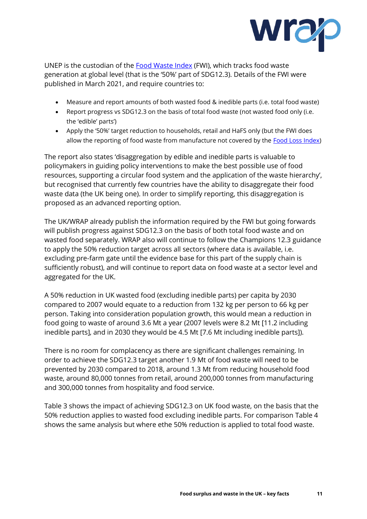

UNEP is the custodian of the [Food Waste Index](https://www.unep.org/resources/report/unep-food-waste-index-report-2021) (FWI), which tracks food waste generation at global level (that is the '50%' part of SDG12.3). Details of the FWI were published in March 2021, and require countries to:

- Measure and report amounts of both wasted food & inedible parts (i.e. total food waste)
- Report progress vs SDG12.3 on the basis of total food waste (not wasted food only (i.e. the 'edible' parts')
- Apply the '50%' target reduction to households, retail and HaFS only (but the FWI does allow the reporting of food waste from manufacture not covered by the [Food Loss Index\)](http://www.fao.org/sustainable-development-goals/indicators/1231/en/)

The report also states 'disaggregation by edible and inedible parts is valuable to policymakers in guiding policy interventions to make the best possible use of food resources, supporting a circular food system and the application of the waste hierarchy', but recognised that currently few countries have the ability to disaggregate their food waste data (the UK being one). In order to simplify reporting, this disaggregation is proposed as an advanced reporting option.

The UK/WRAP already publish the information required by the FWI but going forwards will publish progress against SDG12.3 on the basis of both total food waste and on wasted food separately. WRAP also will continue to follow the Champions 12.3 guidance to apply the 50% reduction target across all sectors (where data is available, i.e. excluding pre-farm gate until the evidence base for this part of the supply chain is sufficiently robust), and will continue to report data on food waste at a sector level and aggregated for the UK.

A 50% reduction in UK wasted food (excluding inedible parts) per capita by 2030 compared to 2007 would equate to a reduction from 132 kg per person to 66 kg per person. Taking into consideration population growth, this would mean a reduction in food going to waste of around 3.6 Mt a year (2007 levels were 8.2 Mt [11.2 including inedible parts], and in 2030 they would be 4.5 Mt [7.6 Mt including inedible parts]).

There is no room for complacency as there are significant challenges remaining. In order to achieve the SDG12.3 target another 1.9 Mt of food waste will need to be prevented by 2030 compared to 2018, around 1.3 Mt from reducing household food waste, around 80,000 tonnes from retail, around 200,000 tonnes from manufacturing and 300,000 tonnes from hospitality and food service.

Table 3 shows the impact of achieving SDG12.3 on UK food waste, on the basis that the 50% reduction applies to wasted food excluding inedible parts. For comparison Table 4 shows the same analysis but where ethe 50% reduction is applied to total food waste.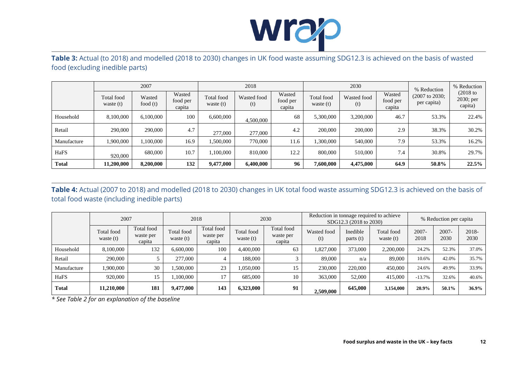

**Table 3:** Actual (to 2018) and modelled (2018 to 2030) changes in UK food waste assuming SDG12.3 is achieved on the basis of wasted food (excluding inedible parts)

|              | 2007                      |                      |                              | 2018                      |                    |                              |                           | 2030               | % Reduction                  | % Reduction                                |                                    |
|--------------|---------------------------|----------------------|------------------------------|---------------------------|--------------------|------------------------------|---------------------------|--------------------|------------------------------|--------------------------------------------|------------------------------------|
|              | Total food<br>waste $(t)$ | Wasted<br>food $(t)$ | Wasted<br>food per<br>capita | Total food<br>waste $(t)$ | Wasted food<br>(t) | Wasted<br>food per<br>capita | Total food<br>waste $(t)$ | Wasted food<br>(t) | Wasted<br>food per<br>capita | $(2007 \text{ to } 2030)$ ;<br>per capita) | $(2018$ to<br>2030; per<br>capita) |
| Household    | 8,100,000                 | 6,100,000            | 100                          | 6,600,000                 | 4,500,000          | 68                           | 5,300,000                 | 3,200,000          | 46.7                         | 53.3%                                      | 22.4%                              |
| Retail       | 290,000                   | 290,000              | 4.7                          | 277,000                   | 277,000            | 4.2                          | 200,000                   | 200,000            | 2.9                          | 38.3%                                      | 30.2%                              |
| Manufacture  | 1,900,000                 | 1,100,000            | 16.9                         | 1,500,000                 | 770,000            | 11.6                         | ,300,000                  | 540,000            | 7.9                          | 53.3%                                      | 16.2%                              |
| HaFS         | 920,000                   | 680,000              | 10.7                         | .100.000                  | 810,000            | 12.2                         | 800,000                   | 510,000            | 7.4                          | 30.8%                                      | 29.7%                              |
| <b>Total</b> | 11,200,000                | 8,200,000            | 132                          | 9,477,000                 | 6,400,000          | 96                           | 7,600,000                 | 4,475,000          | 64.9                         | 50.8%                                      | 22.5%                              |

**Table 4:** Actual (2007 to 2018) and modelled (2018 to 2030) changes in UK total food waste assuming SDG12.3 is achieved on the basis of total food waste (including inedible parts)

|              | 2007                      |                                   | 2018                      |                                   | 2030                      |                                   | Reduction in tonnage required to achieve<br>SDG12.3 (2018 to 2030) |                      |                                  | % Reduction per capita |                  |               |
|--------------|---------------------------|-----------------------------------|---------------------------|-----------------------------------|---------------------------|-----------------------------------|--------------------------------------------------------------------|----------------------|----------------------------------|------------------------|------------------|---------------|
|              | Total food<br>waste $(t)$ | Total food<br>waste per<br>capita | Total food<br>waste $(t)$ | Total food<br>waste per<br>capita | Total food<br>waste $(t)$ | Total food<br>waste per<br>capita | Wasted food<br>(t)                                                 | Inedible<br>parts(t) | <b>Total food</b><br>waste $(t)$ | 2007-<br>2018          | $2007 -$<br>2030 | 2018-<br>2030 |
| Household    | 8,100,000                 | 132                               | 6,600,000                 | 100                               | 4,400,000                 | 63                                | 1,827,000                                                          | 373,000              | 2,200,000                        | 24.2%                  | 52.3%            | 37.0%         |
| Retail       | 290,000                   |                                   | 277,000                   |                                   | 188,000                   |                                   | 89,000                                                             | n/a                  | 89,000                           | 10.6%                  | 42.0%            | 35.7%         |
| Manufacture  | 1,900,000                 | 30                                | .500.000                  | 23                                | .050,000                  | 15                                | 230,000                                                            | 220,000              | 450,000                          | 24.6%                  | 49.9%            | 33.9%         |
| HaFS         | 920,000                   | 15                                | 100.000                   | 17                                | 685,000                   | 10                                | 363,000                                                            | 52,000               | 415,000                          | $-13.7%$               | 32.6%            | 40.6%         |
| <b>Total</b> | 11,210,000                | 181                               | 9,477,000                 | 143                               | 6.323,000                 | 91                                | 2,509,000                                                          | 645,000              | 3,154,000                        | 20.9%                  | 50.1%            | 36.9%         |

*\* See Table 2 for an explanation of the baseline*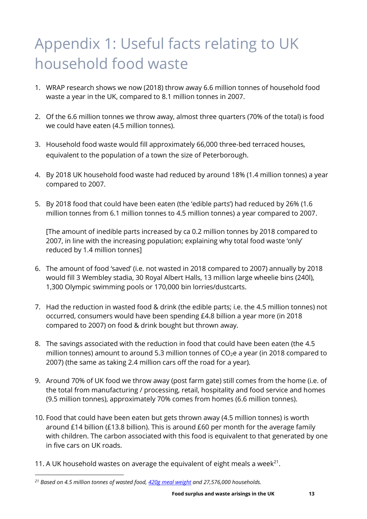# Appendix 1: Useful facts relating to UK household food waste

- 1. WRAP research shows we now (2018) throw away 6.6 million tonnes of household food waste a year in the UK, compared to 8.1 million tonnes in 2007.
- 2. Of the 6.6 million tonnes we throw away, almost three quarters (70% of the total) is food we could have eaten (4.5 million tonnes).
- 3. Household food waste would fill approximately 66,000 three-bed terraced houses, equivalent to the population of a town the size of Peterborough.
- 4. By 2018 UK household food waste had reduced by around 18% (1.4 million tonnes) a year compared to 2007.
- 5. By 2018 food that could have been eaten (the 'edible parts') had reduced by 26% (1.6 million tonnes from 6.1 million tonnes to 4.5 million tonnes) a year compared to 2007.

[The amount of inedible parts increased by ca 0.2 million tonnes by 2018 compared to 2007, in line with the increasing population; explaining why total food waste 'only' reduced by 1.4 million tonnes]

- 6. The amount of food 'saved' (i.e. not wasted in 2018 compared to 2007) annually by 2018 would fill 3 Wembley stadia, 30 Royal Albert Halls, 13 million large wheelie bins (240l), 1,300 Olympic swimming pools or 170,000 bin lorries/dustcarts.
- 7. Had the reduction in wasted food & drink (the edible parts; i.e. the 4.5 million tonnes) not occurred, consumers would have been spending £4.8 billion a year more (in 2018 compared to 2007) on food & drink bought but thrown away.
- 8. The savings associated with the reduction in food that could have been eaten (the 4.5 million tonnes) amount to around 5.3 million tonnes of  $CO<sub>2</sub>e$  a year (in 2018 compared to 2007) (the same as taking 2.4 million cars off the road for a year).
- 9. Around 70% of UK food we throw away (post farm gate) still comes from the home (i.e. of the total from manufacturing / processing, retail, hospitality and food service and homes (9.5 million tonnes), approximately 70% comes from homes (6.6 million tonnes).
- 10. Food that could have been eaten but gets thrown away (4.5 million tonnes) is worth around £14 billion (£13.8 billion). This is around £60 per month for the average family with children. The carbon associated with this food is equivalent to that generated by one in five cars on UK roads.
- 11. A UK household wastes on average the equivalent of eight meals a week<sup>21</sup>.

*<sup>21</sup> Based on 4.5 million tonnes of wasted food[, 420g meal weight](https://wrap.org.uk/resources/guide/reporting-amounts-food-surplus-redistributed-weight-and-meal-equivalents-wrap) and 27,576,000 households.*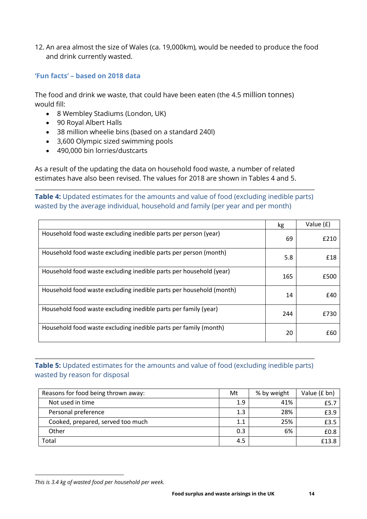12. An area almost the size of Wales (ca. 19,000km), would be needed to produce the food and drink currently wasted.

#### **'Fun facts' – based on 2018 data**

The food and drink we waste, that could have been eaten (the 4.5 million tonnes) would fill:

- 8 Wembley Stadiums (London, UK)
- 90 Royal Albert Halls
- 38 million wheelie bins (based on a standard 240l)
- 3,600 Olympic sized swimming pools
- 490,000 bin lorries/dustcarts

As a result of the updating the data on household food waste, a number of related estimates have also been revised. The values for 2018 are shown in Tables 4 and 5.

**Table 4:** Updated estimates for the amounts and value of food (excluding inedible parts) wasted by the average individual, household and family (per year and per month)

|                                                                     | kg  | Value (£) |
|---------------------------------------------------------------------|-----|-----------|
| Household food waste excluding inedible parts per person (year)     | 69  | £210      |
| Household food waste excluding inedible parts per person (month)    | 5.8 | £18       |
| Household food waste excluding inedible parts per household (year)  | 165 | £500      |
| Household food waste excluding inedible parts per household (month) | 14  | £40       |
| Household food waste excluding inedible parts per family (year)     | 244 | £730      |
| Household food waste excluding inedible parts per family (month)    | 20  | £60       |

# **Table 5:** Updated estimates for the amounts and value of food (excluding inedible parts) wasted by reason for disposal

| Reasons for food being thrown away: | Mt      | % by weight | Value (£ bn) |
|-------------------------------------|---------|-------------|--------------|
| Not used in time                    | 1.9     | 41%         | £5.7         |
| Personal preference                 | 1.3     | 28%         | £3.9         |
| Cooked, prepared, served too much   | $1.1\,$ | 25%         | £3.5         |
| Other                               | 0.3     | 6%          | £0.8         |
| Total                               | 4.5     |             | £13.8        |

*This is 3.4 kg of wasted food per household per week.*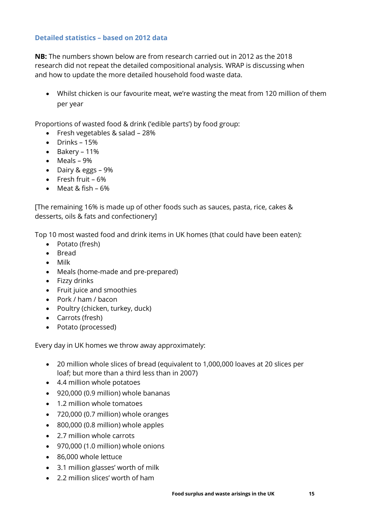### **Detailed statistics – based on 2012 data**

**NB:** The numbers shown below are from research carried out in 2012 as the 2018 research did not repeat the detailed compositional analysis. WRAP is discussing when and how to update the more detailed household food waste data.

• Whilst chicken is our favourite meat, we're wasting the meat from 120 million of them per year

Proportions of wasted food & drink ('edible parts') by food group:

- Fresh vegetables & salad 28%
- Drinks 15%
- Bakery 11%
- Meals 9%
- Dairy & eggs 9%
- Fresh fruit 6%
- Meat & fish 6%

[The remaining 16% is made up of other foods such as sauces, pasta, rice, cakes & desserts, oils & fats and confectionery]

Top 10 most wasted food and drink items in UK homes (that could have been eaten):

- Potato (fresh)
- Bread
- Milk
- Meals (home-made and pre-prepared)
- Fizzy drinks
- Fruit juice and smoothies
- Pork / ham / bacon
- Poultry (chicken, turkey, duck)
- Carrots (fresh)
- Potato (processed)

Every day in UK homes we throw away approximately:

- 20 million whole slices of bread (equivalent to 1,000,000 loaves at 20 slices per loaf; but more than a third less than in 2007)
- 4.4 million whole potatoes
- 920,000 (0.9 million) whole bananas
- 1.2 million whole tomatoes
- 720,000 (0.7 million) whole oranges
- 800,000 (0.8 million) whole apples
- 2.7 million whole carrots
- 970,000 (1.0 million) whole onions
- 86,000 whole lettuce
- 3.1 million glasses' worth of milk
- 2.2 million slices' worth of ham